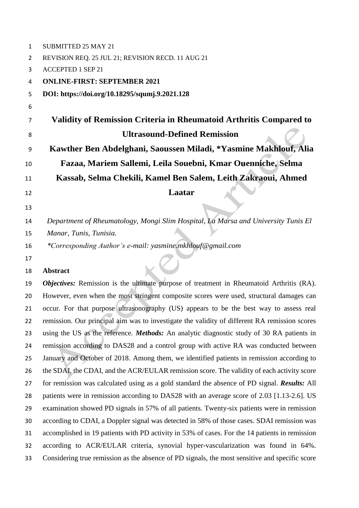| $\mathbf{1}$ | <b>SUBMITTED 25 MAY 21</b>                                                                        |
|--------------|---------------------------------------------------------------------------------------------------|
| 2            | REVISION REQ. 25 JUL 21; REVISION RECD. 11 AUG 21                                                 |
| 3            | <b>ACCEPTED 1 SEP 21</b>                                                                          |
| 4            | <b>ONLINE-FIRST: SEPTEMBER 2021</b>                                                               |
| 5            | DOI: https://doi.org/10.18295/squmj.9.2021.128                                                    |
| 6            |                                                                                                   |
| 7            | Validity of Remission Criteria in Rheumatoid Arthritis Compared to                                |
| 8            | <b>Ultrasound-Defined Remission</b>                                                               |
| 9            | Kawther Ben Abdelghani, Saoussen Miladi, *Yasmine Makhlouf, Alia                                  |
| 10           | Fazaa, Mariem Sallemi, Leila Souebni, Kmar Ouenniche, Selma                                       |
| 11           | Kassab, Selma Chekili, Kamel Ben Salem, Leith Zakraoui, Ahmed                                     |
| 12           | <b>Laatar</b>                                                                                     |
| 13           |                                                                                                   |
| 14           | Department of Rheumatology, Mongi Slim Hospital, La Marsa and University Tunis El                 |
| 15           | Manar, Tunis, Tunisia.                                                                            |
| 16           | *Corresponding Author's e-mail: yasmine.mkhlouf@gmail.com                                         |
| 17           |                                                                                                   |
| 18           | <b>Abstract</b>                                                                                   |
| 19           | <b>Objectives:</b> Remission is the ultimate purpose of treatment in Rheumatoid Arthritis (RA).   |
| 20           | However, even when the most stringent composite scores were used, structural damages can          |
| 21           | occur. For that purpose ultrasonography (US) appears to be the best way to assess real            |
| 22           | remission. Our principal aim was to investigate the validity of different RA remission scores     |
| 23           | using the US as the reference. <i>Methods</i> : An analytic diagnostic study of 30 RA patients in |
| 24           | remission according to DAS28 and a control group with active RA was conducted between             |
| 25           | January and October of 2018. Among them, we identified patients in remission according to         |
| 26           | the SDAI, the CDAI, and the ACR/EULAR remission score. The validity of each activity score        |
| 27           | for remission was calculated using as a gold standard the absence of PD signal. Results: All      |
| 28           | patients were in remission according to DAS28 with an average score of 2.03 [1.13-2.6]. US        |
| 29           | examination showed PD signals in 57% of all patients. Twenty-six patients were in remission       |
| 30           | according to CDAI, a Doppler signal was detected in 58% of those cases. SDAI remission was        |
| 31           | accomplished in 19 patients with PD activity in 53% of cases. For the 14 patients in remission    |
| 32           | according to ACR/EULAR criteria, synovial hyper-vascularization was found in 64%.                 |
| 33           | Considering true remission as the absence of PD signals, the most sensitive and specific score    |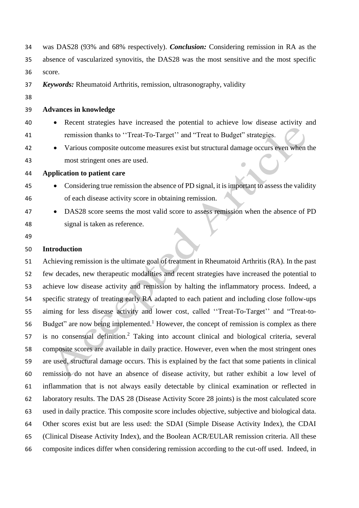| 34 | was DAS28 (93% and 68% respectively). <i>Conclusion:</i> Considering remission in RA as the |
|----|---------------------------------------------------------------------------------------------|
| 35 | absence of vascularized synovitis, the DAS28 was the most sensitive and the most specific   |
| 36 | score.                                                                                      |
| 37 | <b>Keywords:</b> Rheumatoid Arthritis, remission, ultrasonography, validity                 |
| 38 |                                                                                             |
| 39 | <b>Advances in knowledge</b>                                                                |
| 40 | Recent strategies have increased the potential to achieve low disease activity and          |
| 41 | remission thanks to "Treat-To-Target" and "Treat to Budget" strategies.                     |
| 42 | Various composite outcome measures exist but structural damage occurs even when the         |
| 43 | most stringent ones are used.                                                               |
| 44 | <b>Application to patient care</b>                                                          |
| 45 | Considering true remission the absence of PD signal, it is important to assess the validity |
| 46 | of each disease activity score in obtaining remission.                                      |
| 47 | DAS28 score seems the most valid score to assess remission when the absence of PD           |
| 48 | signal is taken as reference.                                                               |
| 49 |                                                                                             |
| 50 | <b>Introduction</b>                                                                         |

 Achieving remission is the ultimate goal of treatment in Rheumatoid Arthritis (RA). In the past few decades, new therapeutic modalities and recent strategies have increased the potential to achieve low disease activity and remission by halting the inflammatory process. Indeed, a specific strategy of treating early RA adapted to each patient and including close follow-ups aiming for less disease activity and lower cost, called ''Treat-To-Target'' and "Treat-to-56 Budget" are now being implemented.<sup>1</sup> However, the concept of remission is complex as there 57 is no consensual definition.<sup>2</sup> Taking into account clinical and biological criteria, several composite scores are available in daily practice. However, even when the most stringent ones are used, structural damage occurs. This is explained by the fact that some patients in clinical remission do not have an absence of disease activity, but rather exhibit a low level of inflammation that is not always easily detectable by clinical examination or reflected in laboratory results. The DAS 28 (Disease Activity Score 28 joints) is the most calculated score used in daily practice. This composite score includes objective, subjective and biological data. Other scores exist but are less used: the SDAI (Simple Disease Activity Index), the CDAI (Clinical Disease Activity Index), and the Boolean ACR/EULAR remission criteria. All these composite indices differ when considering remission according to the cut-off used. Indeed, in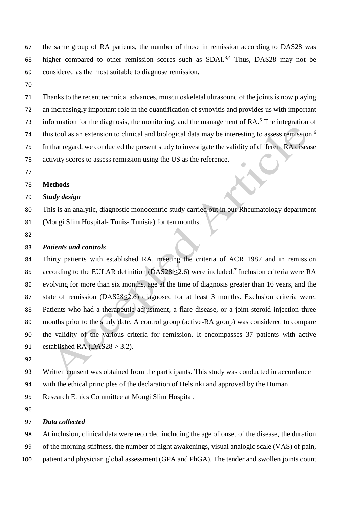the same group of RA patients, the number of those in remission according to DAS28 was 68 higher compared to other remission scores such as SDAI.<sup>3,4</sup> Thus, DAS28 may not be considered as the most suitable to diagnose remission.

 Thanks to the recent technical advances, musculoskeletal ultrasound of the joints is now playing an increasingly important role in the quantification of synovitis and provides us with important 73 information for the diagnosis, the monitoring, and the management of  $RA$ <sup>5</sup>. The integration of this tool as an extension to clinical and biological data may be interesting to assess remission.<sup>6</sup> In that regard, we conducted the present study to investigate the validity of different RA disease activity scores to assess remission using the US as the reference.

#### **Methods**

### *Study design*

 This is an analytic, diagnostic monocentric study carried out in our Rheumatology department (Mongi Slim Hospital- Tunis- Tunisia) for ten months.

## *Patients and controls*

 Thirty patients with established RA, meeting the criteria of ACR 1987 and in remission 85 according to the EULAR definition (DAS28  $\leq$ 2.6) were included.<sup>7</sup> Inclusion criteria were RA evolving for more than six months, age at the time of diagnosis greater than 16 years, and the 87 state of remission (DAS28≤2.6) diagnosed for at least 3 months. Exclusion criteria were: Patients who had a therapeutic adjustment, a flare disease, or a joint steroid injection three months prior to the study date. A control group (active-RA group) was considered to compare the validity of the various criteria for remission. It encompasses 37 patients with active 91 established RA (DAS28  $>$  3.2).

Written consent was obtained from the participants. This study was conducted in accordance

with the ethical principles of the declaration of Helsinki and approved by the Human

Research Ethics Committee at Mongi Slim Hospital.

#### *Data collected*

 At inclusion, clinical data were recorded including the age of onset of the disease, the duration of the morning stiffness, the number of night awakenings, visual analogic scale (VAS) of pain, patient and physician global assessment (GPA and PhGA). The tender and swollen joints count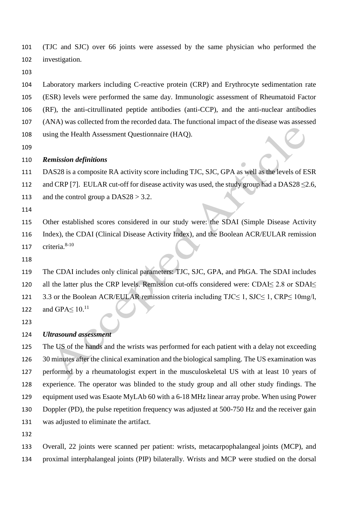(TJC and SJC) over 66 joints were assessed by the same physician who performed the investigation.

 Laboratory markers including C-reactive protein (CRP) and Erythrocyte sedimentation rate (ESR) levels were performed the same day. Immunologic assessment of Rheumatoid Factor (RF), the anti-citrullinated peptide antibodies (anti-CCP), and the anti-nuclear antibodies (ANA) was collected from the recorded data. The functional impact of the disease was assessed using the Health Assessment Questionnaire (HAQ).

### *Remission definitions*

DAS28 is a composite RA activity score including TJC, SJC, GPA as well as the levels of ESR

112 and CRP [7]. EULAR cut-off for disease activity was used, the study group had a DAS28  $\leq$ 2.6,

113 and the control group a  $DAS28 > 3.2$ .

 Other established scores considered in our study were: the SDAI (Simple Disease Activity Index), the CDAI (Clinical Disease Activity Index), and the Boolean ACR/EULAR remission 117 criteria. $8-10$ 

 The CDAI includes only clinical parameters: TJC, SJC, GPA, and PhGA. The SDAI includes all the latter plus the CRP levels. Remission cut-offs considered were: CDAI≤ 2.8 or SDAI≤ 3.3 or the Boolean ACR/EULAR remission criteria including TJC≤ 1, SJC≤ 1, CRP≤ 10mg/l, 122 and GPA $\leq 10$ .<sup>11</sup>

## *Ultrasound assessment*

 The US of the hands and the wrists was performed for each patient with a delay not exceeding 30 minutes after the clinical examination and the biological sampling. The US examination was performed by a rheumatologist expert in the musculoskeletal US with at least 10 years of experience. The operator was blinded to the study group and all other study findings. The equipment used was Esaote MyLAb 60 with a 6-18 MHz linear array probe. When using Power Doppler (PD), the pulse repetition frequency was adjusted at 500-750 Hz and the receiver gain was adjusted to eliminate the artifact.

 Overall, 22 joints were scanned per patient: wrists, metacarpophalangeal joints (MCP), and proximal interphalangeal joints (PIP) bilaterally. Wrists and MCP were studied on the dorsal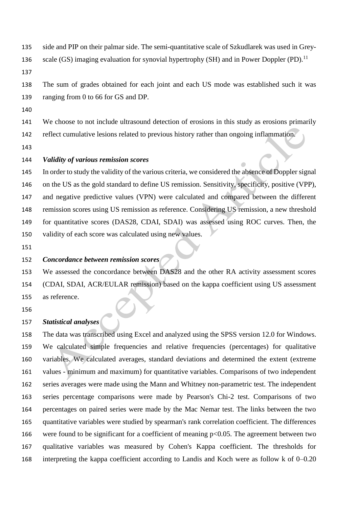- side and PIP on their palmar side. The semi-quantitative scale of Szkudlarek was used in Grey-
- 136 scale (GS) imaging evaluation for synovial hypertrophy (SH) and in Power Doppler (PD).<sup>11</sup>
- 

 The sum of grades obtained for each joint and each US mode was established such it was ranging from 0 to 66 for GS and DP.

We choose to not include ultrasound detection of erosions in this study as erosions primarily

reflect cumulative lesions related to previous history rather than ongoing inflammation.

## *Validity of various remission scores*

 In order to study the validity of the various criteria, we considered the absence of Doppler signal on the US as the gold standard to define US remission. Sensitivity, specificity, positive (VPP), and negative predictive values (VPN) were calculated and compared between the different remission scores using US remission as reference. Considering US remission, a new threshold for quantitative scores (DAS28, CDAI, SDAI) was assessed using ROC curves. Then, the validity of each score was calculated using new values.

## *Concordance between remission scores*

 We assessed the concordance between DAS28 and the other RA activity assessment scores (CDAI, SDAI, ACR/EULAR remission) based on the kappa coefficient using US assessment as reference.

# *Statistical analyses*

 The data was transcribed using Excel and analyzed using the SPSS version 12.0 for Windows. We calculated simple frequencies and relative frequencies (percentages) for qualitative variables. We calculated averages, standard deviations and determined the extent (extreme values - minimum and maximum) for quantitative variables. Comparisons of two independent series averages were made using the Mann and Whitney non-parametric test. The independent series percentage comparisons were made by Pearson's Chi-2 test. Comparisons of two percentages on paired series were made by the Mac Nemar test. The links between the two quantitative variables were studied by spearman's rank correlation coefficient. The differences 166 were found to be significant for a coefficient of meaning  $p<0.05$ . The agreement between two qualitative variables was measured by Cohen's Kappa coefficient. The thresholds for interpreting the kappa coefficient according to Landis and Koch were as follow k of 0–0.20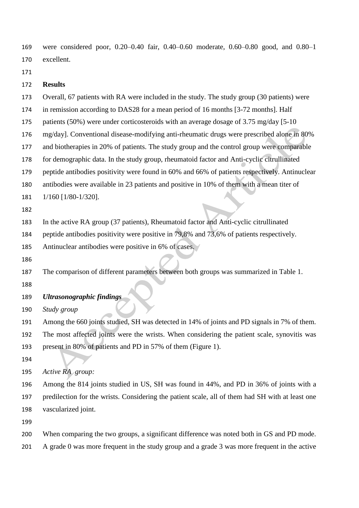were considered poor, 0.20–0.40 fair, 0.40–0.60 moderate, 0.60–0.80 good, and 0.80–1 excellent.

## **Results**

Overall, 67 patients with RA were included in the study. The study group (30 patients) were

in remission according to DAS28 for a mean period of 16 months [3-72 months]. Half

patients (50%) were under corticosteroids with an average dosage of 3.75 mg/day [5-10

- mg/day]. Conventional disease-modifying anti-rheumatic drugs were prescribed alone in 80%
- and biotherapies in 20% of patients. The study group and the control group were comparable

for demographic data. In the study group, rheumatoid factor and Anti-cyclic citrullinated

peptide antibodies positivity were found in 60% and 66% of patients respectively. Antinuclear

antibodies were available in 23 patients and positive in 10% of them with a mean titer of

- 1/160 [1/80-1/320].
- 

In the active RA group (37 patients), Rheumatoid factor and Anti-cyclic citrullinated

peptide antibodies positivity were positive in 79,8% and 73,6% of patients respectively.

Antinuclear antibodies were positive in 6% of cases.

The comparison of different parameters between both groups was summarized in Table 1.

- 
- *Ultrasonographic findings*
- *Study group*

Among the 660 joints studied, SH was detected in 14% of joints and PD signals in 7% of them.

 The most affected joints were the wrists. When considering the patient scale, synovitis was present in 80% of patients and PD in 57% of them (Figure 1).

- 
- *Active RA group:*

 Among the 814 joints studied in US, SH was found in 44%, and PD in 36% of joints with a predilection for the wrists. Considering the patient scale, all of them had SH with at least one vascularized joint.

When comparing the two groups, a significant difference was noted both in GS and PD mode.

A grade 0 was more frequent in the study group and a grade 3 was more frequent in the active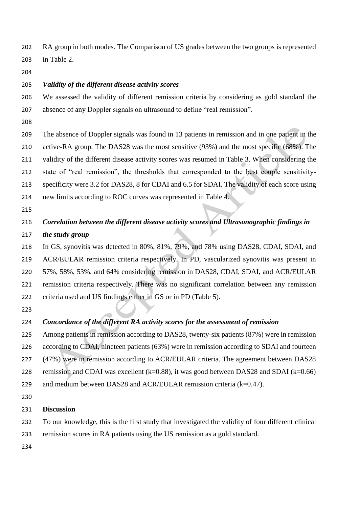RA group in both modes. The Comparison of US grades between the two groups is represented in Table 2.

## *Validity of the different disease activity scores*

- We assessed the validity of different remission criteria by considering as gold standard the absence of any Doppler signals on ultrasound to define "real remission".
- 
- The absence of Doppler signals was found in 13 patients in remission and in one patient in the active-RA group. The DAS28 was the most sensitive (93%) and the most specific (68%). The validity of the different disease activity scores was resumed in Table 3. When considering the state of "real remission", the thresholds that corresponded to the best couple sensitivity- specificity were 3.2 for DAS28, 8 for CDAI and 6.5 for SDAI. The validity of each score using new limits according to ROC curves was represented in Table 4.
- 

# *Correlation between the different disease activity scores and Ultrasonographic findings in*

*the study group*

 In GS, synovitis was detected in 80%, 81%, 79%, and 78% using DAS28, CDAI, SDAI, and ACR/EULAR remission criteria respectively. In PD, vascularized synovitis was present in 57%, 58%, 53%, and 64% considering remission in DAS28, CDAI, SDAI, and ACR/EULAR remission criteria respectively. There was no significant correlation between any remission criteria used and US findings either in GS or in PD (Table 5).

# *Concordance of the different RA activity scores for the assessment of remission*

- Among patients in remission according to DAS28, twenty-six patients (87%) were in remission according to CDAI, nineteen patients (63%) were in remission according to SDAI and fourteen (47%) were in remission according to ACR/EULAR criteria. The agreement between DAS28 228 remission and CDAI was excellent  $(k=0.88)$ , it was good between DAS28 and SDAI  $(k=0.66)$ 229 and medium between DAS28 and ACR/EULAR remission criteria  $(k=0.47)$ .
- 

## **Discussion**

- To our knowledge, this is the first study that investigated the validity of four different clinical
- remission scores in RA patients using the US remission as a gold standard.
-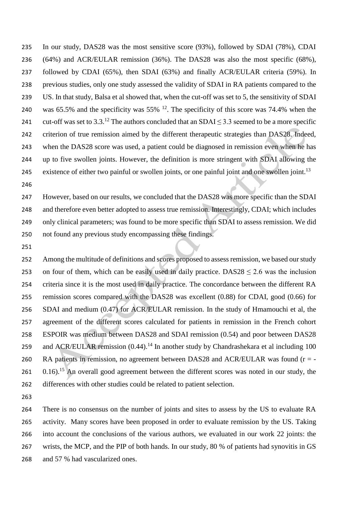In our study, DAS28 was the most sensitive score (93%), followed by SDAI (78%), CDAI (64%) and ACR/EULAR remission (36%). The DAS28 was also the most specific (68%), followed by CDAI (65%), then SDAI (63%) and finally ACR/EULAR criteria (59%). In previous studies, only one study assessed the validity of SDAI in RA patients compared to the US. In that study, Balsa et al showed that, when the cut-off was set to 5, the sensitivity of SDAI 240 was 65.5% and the specificity was 55%  $^{12}$ . The specificity of this score was 74.4% when the 241 cut-off was set to 3.3.<sup>12</sup> The authors concluded that an SDAI  $\leq$  3.3 seemed to be a more specific criterion of true remission aimed by the different therapeutic strategies than DAS28. Indeed, when the DAS28 score was used, a patient could be diagnosed in remission even when he has up to five swollen joints. However, the definition is more stringent with SDAI allowing the existence of either two painful or swollen joints, or one painful joint and one swollen joint.<sup>13</sup>

 However, based on our results, we concluded that the DAS28 was more specific than the SDAI and therefore even better adopted to assess true remission. Interestingly, CDAI; which includes only clinical parameters; was found to be more specific than SDAI to assess remission. We did not found any previous study encompassing these findings.

 Among the multitude of definitions and scores proposed to assess remission, we based our study 253 on four of them, which can be easily used in daily practice. DAS28  $\leq$  2.6 was the inclusion criteria since it is the most used in daily practice. The concordance between the different RA remission scores compared with the DAS28 was excellent (0.88) for CDAI, good (0.66) for SDAI and medium (0.47) for ACR/EULAR remission. In the study of Hmamouchi et al, the agreement of the different scores calculated for patients in remission in the French cohort ESPOIR was medium between DAS28 and SDAI remission (0.54) and poor between DAS28 259 and ACR/EULAR remission  $(0.44)$ .<sup>14</sup> In another study by Chandrashekara et al including 100 260 RA patients in remission, no agreement between DAS28 and ACR/EULAR was found  $(r = -1)$ 261 0.16).<sup>15</sup> An overall good agreement between the different scores was noted in our study, the differences with other studies could be related to patient selection.

 There is no consensus on the number of joints and sites to assess by the US to evaluate RA activity. Many scores have been proposed in order to evaluate remission by the US. Taking into account the conclusions of the various authors, we evaluated in our work 22 joints: the wrists, the MCP, and the PIP of both hands. In our study, 80 % of patients had synovitis in GS and 57 % had vascularized ones.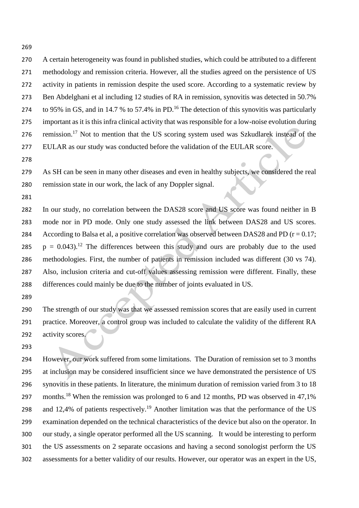A certain heterogeneity was found in published studies, which could be attributed to a different methodology and remission criteria. However, all the studies agreed on the persistence of US activity in patients in remission despite the used score. According to a systematic review by Ben Abdelghani et al including 12 studies of RA in remission, synovitis was detected in 50.7% 274 to 95% in GS, and in 14.7 % to 57.4% in PD.<sup>16</sup> The detection of this synovitis was particularly important as it is this infra clinical activity that was responsible for a low-noise evolution during 276 remission.<sup>17</sup> Not to mention that the US scoring system used was Szkudlarek instead of the EULAR as our study was conducted before the validation of the EULAR score.

 As SH can be seen in many other diseases and even in healthy subjects, we considered the real remission state in our work, the lack of any Doppler signal.

 In our study, no correlation between the DAS28 score and US score was found neither in B mode nor in PD mode. Only one study assessed the link between DAS28 and US scores. 284 According to Balsa et al, a positive correlation was observed between DAS28 and PD ( $r = 0.17$ ;  $p = 0.043$ .<sup>12</sup> The differences between this study and ours are probably due to the used methodologies. First, the number of patients in remission included was different (30 vs 74). Also, inclusion criteria and cut-off values assessing remission were different. Finally, these differences could mainly be due to the number of joints evaluated in US.

 The strength of our study was that we assessed remission scores that are easily used in current practice. Moreover, a control group was included to calculate the validity of the different RA activity scores.

 However, our work suffered from some limitations. The Duration of remission set to 3 months at inclusion may be considered insufficient since we have demonstrated the persistence of US synovitis in these patients. In literature, the minimum duration of remission varied from 3 to 18 297 months.<sup>18</sup> When the remission was prolonged to 6 and 12 months, PD was observed in 47,1% 298 and 12,4% of patients respectively.<sup>19</sup> Another limitation was that the performance of the US examination depended on the technical characteristics of the device but also on the operator. In our study, a single operator performed all the US scanning. It would be interesting to perform the US assessments on 2 separate occasions and having a second sonologist perform the US assessments for a better validity of our results. However, our operator was an expert in the US,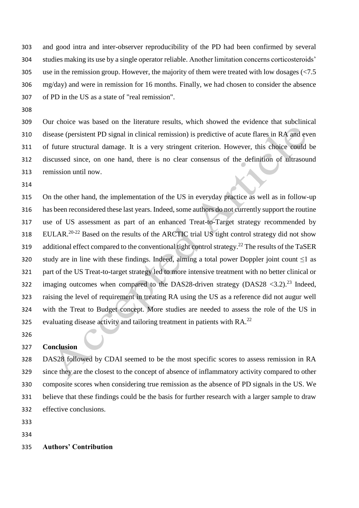and good intra and inter-observer reproducibility of the PD had been confirmed by several studies making its use by a single operator reliable. Another limitation concerns corticosteroids' use in the remission group. However, the majority of them were treated with low dosages (<7.5 mg/day) and were in remission for 16 months. Finally, we had chosen to consider the absence of PD in the US as a state of "real remission".

 Our choice was based on the literature results, which showed the evidence that subclinical disease (persistent PD signal in clinical remission) is predictive of acute flares in RA and even of future structural damage. It is a very stringent criterion. However, this choice could be discussed since, on one hand, there is no clear consensus of the definition of ultrasound remission until now.

 On the other hand, the implementation of the US in everyday practice as well as in follow-up has been reconsidered these last years. Indeed, some authors do not currently support the routine use of US assessment as part of an enhanced Treat-to-Target strategy recommended by 318 EULAR.<sup>20-22</sup> Based on the results of the ARCTIC trial US tight control strategy did not show 319 additional effect compared to the conventional tight control strategy.<sup>22</sup> The results of the TaSER 320 study are in line with these findings. Indeed, aiming a total power Doppler joint count  $\leq 1$  as part of the US Treat-to-target strategy led to more intensive treatment with no better clinical or 322 imaging outcomes when compared to the DAS28-driven strategy (DAS28  $\langle 3.2 \rangle^{23}$  Indeed, raising the level of requirement in treating RA using the US as a reference did not augur well with the Treat to Budget concept. More studies are needed to assess the role of the US in evaluating disease activity and tailoring treatment in patients with RA.<sup>22</sup>

## **Conclusion**

 DAS28 followed by CDAI seemed to be the most specific scores to assess remission in RA since they are the closest to the concept of absence of inflammatory activity compared to other composite scores when considering true remission as the absence of PD signals in the US. We believe that these findings could be the basis for further research with a larger sample to draw effective conclusions.

- 
- 

## **Authors' Contribution**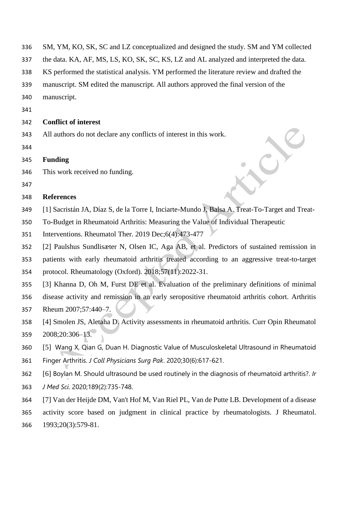| 336 | SM, YM, KO, SK, SC and LZ conceptualized and designed the study. SM and YM collected            |
|-----|-------------------------------------------------------------------------------------------------|
| 337 | the data. KA, AF, MS, LS, KO, SK, SC, KS, LZ and AL analyzed and interpreted the data.          |
| 338 | KS performed the statistical analysis. YM performed the literature review and drafted the       |
| 339 | manuscript. SM edited the manuscript. All authors approved the final version of the             |
| 340 | manuscript.                                                                                     |
| 341 |                                                                                                 |
| 342 | <b>Conflict of interest</b>                                                                     |
| 343 | All authors do not declare any conflicts of interest in this work.                              |
| 344 |                                                                                                 |
| 345 | <b>Funding</b>                                                                                  |
| 346 | This work received no funding.                                                                  |
| 347 |                                                                                                 |
| 348 | <b>References</b>                                                                               |
| 349 | [1] Sacristán JA, Díaz S, de la Torre I, Inciarte-Mundo J, Balsa A. Treat-To-Target and Treat-  |
| 350 | To-Budget in Rheumatoid Arthritis: Measuring the Value of Individual Therapeutic                |
| 351 | Interventions. Rheumatol Ther. 2019 Dec;6(4):473-477                                            |
| 352 | [2] Paulshus Sundlisæter N, Olsen IC, Aga AB, et al. Predictors of sustained remission in       |
| 353 | patients with early rheumatoid arthritis treated according to an aggressive treat-to-target     |
| 354 | protocol. Rheumatology (Oxford). 2018;57(11):2022-31.                                           |
| 355 | [3] Khanna D, Oh M, Furst DE et al. Evaluation of the preliminary definitions of minimal        |
| 356 | disease activity and remission in an early seropositive rheumatoid arthritis cohort. Arthritis  |
| 357 | Rheum 2007;57:440-7.                                                                            |
| 358 | [4] Smolen JS, Aletaha D) Activity assessments in rheumatoid arthritis. Curr Opin Rheumatol     |
| 359 | 2008;20:306-13.                                                                                 |
| 360 | [5] Wang X, Qian G, Duan H. Diagnostic Value of Musculoskeletal Ultrasound in Rheumatoid        |
| 361 | Finger Arthritis. J Coll Physicians Surg Pak. 2020;30(6):617-621.                               |
| 362 | [6] Boylan M. Should ultrasound be used routinely in the diagnosis of rheumatoid arthritis?. Ir |
| 363 | J Med Sci. 2020;189(2):735-748.                                                                 |
| 364 | [7] Van der Heijde DM, Van't Hof M, Van Riel PL, Van de Putte LB. Development of a disease      |
| 365 | activity score based on judgment in clinical practice by rheumatologists. J Rheumatol.          |
| 366 | 1993;20(3):579-81.                                                                              |
|     |                                                                                                 |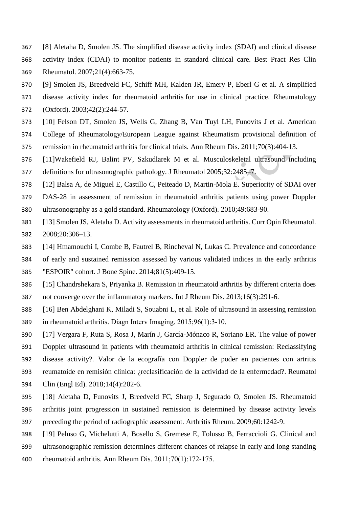- [8] Aletaha D, Smolen JS. The simplified disease activity index (SDAI) and clinical disease
- activity index (CDAI) to monitor patients in standard clinical care. Best Pract Res Clin Rheumatol. 2007;21(4):663-75.
- [9] Smolen JS, Breedveld FC, Schiff MH, Kalden JR, Emery P, Eberl G et al. A simplified
- disease activity index for rheumatoid arthritis for use in clinical practice. [Rheumatology](http://www.ncbi.nlm.nih.gov/pubmed/12595618/)
- [\(Oxford\).](http://www.ncbi.nlm.nih.gov/pubmed/12595618/) 2003;42(2):244-57.
- [10] Felson DT, Smolen JS, Wells G, Zhang B, Van Tuyl LH, Funovits J et al. American
- College of Rheumatology/European League against Rheumatism provisional definition of
- remission in rheumatoid arthritis for clinical trials. [Ann Rheum Dis.](http://www.ncbi.nlm.nih.gov/pubmed/21292833/) 2011;70(3):404-13.
- [11]Wakefield RJ, Balint PV, Szkudlarek M et al. Musculoskeletal ultrasound including definitions for ultrasonographic pathology. J Rheumatol 2005;32:2485–7.
- [12] Balsa A, de Miguel E, Castillo C, Peiteado D, Martin-Mola E. Superiority of SDAI over
- DAS-28 in assessment of remission in rheumatoid arthritis patients using power Doppler ultrasonography as a gold standard. Rheumatology (Oxford). 2010;49:683-90.
- [13] Smolen JS, Aletaha D. Activity assessments in rheumatoid arthritis. Curr Opin Rheumatol. 2008;20:306–13.
- [14] Hmamouchi I, Combe B, Fautrel B, Rincheval N, Lukas C. Prevalence and concordance
- of early and sustained remission assessed by various validated indices in the early arthritis
- "ESPOIR" cohort. [J Bone Spine.](http://www.ncbi.nlm.nih.gov/pubmed/?term=Prevalence+and+concordance+of+early+and+sustained+remission+assessed+by+variousvalidated+indices+in+the+early+arthritis+%E2%80%9CESPOIR%E2%80%9D) 2014;81(5):409-15.
- [15] Chandrshekara S, Priyanka B. Remission in rheumatoid arthritis by different criteria does
- not converge over the inflammatory markers. Int J Rheum Dis. 2013;16(3):291-6.
- [16] Ben Abdelghani K, Miladi S, Souabni L, et al. Role of ultrasound in assessing remission in rheumatoid arthritis. Diagn Interv Imaging. 2015;96(1):3‐10.
- [17] Vergara F, Ruta S, Rosa J, Marín J, García-Mónaco R, Soriano ER. The value of power Doppler ultrasound in patients with rheumatoid arthritis in clinical remission: Reclassifying disease activity?. Valor de la ecografía con Doppler de poder en pacientes con artritis reumatoide en remisión clínica: ¿reclasificación de la actividad de la enfermedad?. Reumatol
- Clin (Engl Ed). 2018;14(4):202-6.
- [18] Aletaha D, Funovits J, Breedveld FC, Sharp J, Segurado O, Smolen JS. Rheumatoid arthritis joint progression in sustained remission is determined by disease activity levels preceding the period of radiographic assessment. Arthritis Rheum. 2009;60:1242-9.
- [19] Peluso G, Michelutti A, Bosello S, Gremese E, Tolusso B, Ferraccioli G. Clinical and
- ultrasonographic remission determines different chances of relapse in early and long standing
- rheumatoid arthritis. Ann Rheum Dis. 2011;70(1):172‐175.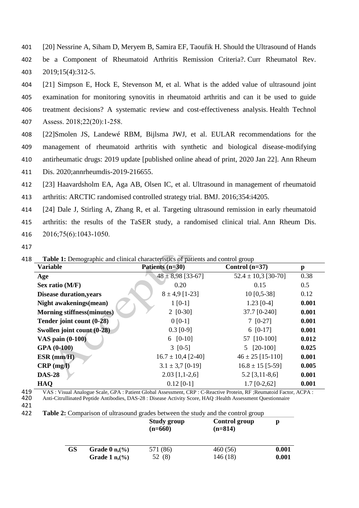- 401 [20] Nessrine A, Siham D, Meryem B, Samira EF, Taoufik H. Should the Ultrasound of Hands 402 be a Component of Rheumatoid Arthritis Remission Criteria?. Curr Rheumatol Rev. 403 2019;15(4):312-5.
- 404 [21] Simpson E, Hock E, Stevenson M, et al. What is the added value of ultrasound joint 405 examination for monitoring synovitis in rheumatoid arthritis and can it be used to guide 406 treatment decisions? A systematic review and cost-effectiveness analysis. Health Technol 407 Assess. 2018;22(20):1‐258.
- 408 [22]Smolen JS, Landewé RBM, Bijlsma JWJ, et al. EULAR recommendations for the 409 management of rheumatoid arthritis with synthetic and biological disease-modifying 410 antirheumatic drugs: 2019 update [published online ahead of print, 2020 Jan 22]. Ann Rheum 411 Dis. 2020;annrheumdis-2019-216655.
- 412 [23] Haavardsholm EA, Aga AB, Olsen IC, et al. Ultrasound in management of rheumatoid
- 413 arthritis: ARCTIC randomised controlled strategy trial. BMJ. 2016;354:i4205.

414 [24] Dale J, Stirling A, Zhang R, et al. Targeting ultrasound remission in early rheumatoid

415 arthritis: the results of the TaSER study, a randomised clinical trial. Ann Rheum Dis. 416 2016;75(6):1043‐1050.

417

| <b>Variable</b>                   | Patients (n=30)        | Control $(n=37)$        | $\mathbf{p}$ |  |
|-----------------------------------|------------------------|-------------------------|--------------|--|
| Age                               | $48 \pm 8,98$ [33-67]  | $52.4 \pm 10.3$ [30-70] | 0.38         |  |
| Sex ratio $(M/F)$                 | 0.20                   | 0.15                    | 0.5          |  |
| <b>Disease duration, years</b>    | $8 \pm 4.9$ [1-23]     | $10$ [0,5-38]           | 0.12         |  |
| Night awakenings(mean)            | $1 [0-1]$              | $1.23$ [0-4]            | 0.001        |  |
| <b>Morning stiffness(minutes)</b> | $2 [0-30]$             | 37.7 [0-240]            | 0.001        |  |
| Tender joint count (0-28)         | $0 [0-1]$              | $7$ [0-27]              | 0.001        |  |
| Swollen joint count $(0-28)$      | $0.3$ [0-9]            | $6$ [0-17]              | 0.001        |  |
| <b>VAS pain (0-100)</b>           | $6$ [0-10]             | 57 [10-100]             | 0.012        |  |
| <b>GPA (0-100)</b>                | $3 [0-5]$              | $5$ [20-100]            | 0.025        |  |
| $ESR$ (mm/H)                      | $16.7 \pm 10.4$ [2-40] | $46 \pm 25$ [15-110]    | 0.001        |  |
| $CRP$ (mg/l)                      | $3.1 \pm 3.7$ [0-19]   | $16.8 \pm 15$ [5-59]    | 0.005        |  |
| <b>DAS-28</b>                     | $2.03$ [1,1-2,6]       | $5.2$ [3,11-8,6]        | 0.001        |  |
| HAQ                               | $0.12$ [0-1]           | $1.7$ [0-2,62]          | 0.001        |  |

418 **Table 1:** Demographic and clinical characteristics of patients and control group

419 VAS : Visual Analogue Scale, GPA : Patient Global Assessment, CRP : C-Reactive Protein, RF ; Reumatoid Factor, ACPA : 420 Anti-Citrullinated Peptide Antibodies, DAS-28 : Disease Activity Score, HAQ : Health Assessment 420 Anti-Citrullinated Peptide Antibodies, DAS-28 : Disease Activity Score, HAQ :Health Assessment Questionnaire

422 **Table 2:** Comparison of ultrasound grades between the study and the control group

|           |                              | <b>Study group</b><br>$(n=660)$ | <b>Control group</b><br>$(n=814)$ | p     |
|-----------|------------------------------|---------------------------------|-----------------------------------|-------|
| <b>GS</b> | Grade $0$ n, $\frac{\%}{\%}$ | 571 (86)                        | 460(56)                           | 0.001 |
|           | Grade 1 $n,(%)$              | (8)                             | 146 (18)                          | 0.001 |

<sup>421</sup>